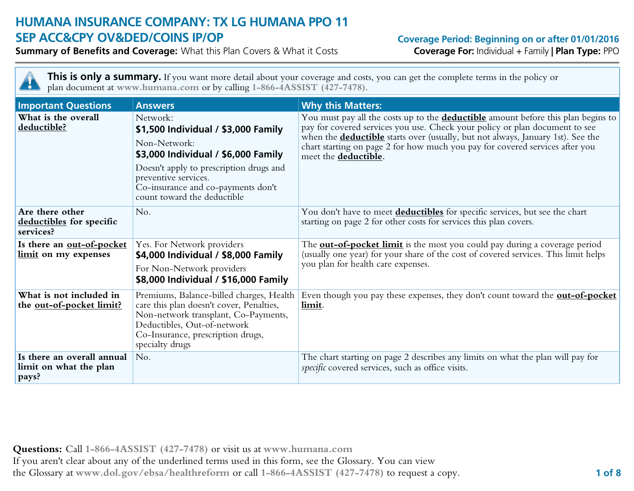# **HUMANA INSURANCE COMPANY: TX LG HUMANA PPO 11 SEP ACC&CPY OV&DED/COINS IP/OP Coverage Period: Beginning on or after 01/01/2016**

**Summary of Benefits and Coverage:** What this Plan Covers & What it Costs **Coverage For:** Individual + Family **| Plan Type:** PPO

н

This is only a summary. If you want more detail about your coverage and costs, you can get the complete terms in the policy or plan document at **www.humana.com** or by calling **1-866-4ASSIST (427-7478)**.

| <b>Important Questions</b>                                    | <b>Answers</b>                                                                                                                                                                                                                                 | <b>Why this Matters:</b>                                                                                                                                                                                                                                                                                                                                                  |
|---------------------------------------------------------------|------------------------------------------------------------------------------------------------------------------------------------------------------------------------------------------------------------------------------------------------|---------------------------------------------------------------------------------------------------------------------------------------------------------------------------------------------------------------------------------------------------------------------------------------------------------------------------------------------------------------------------|
| What is the overall<br>deductible?                            | Network:<br>\$1,500 Individual / \$3,000 Family<br>Non-Network:<br>\$3,000 Individual / \$6,000 Family<br>Doesn't apply to prescription drugs and<br>preventive services.<br>Co-insurance and co-payments don't<br>count toward the deductible | You must pay all the costs up to the <b>deductible</b> amount before this plan begins to<br>pay for covered services you use. Check your policy or plan document to see<br>when the <b>deductible</b> starts over (usually, but not always, January 1st). See the<br>chart starting on page 2 for how much you pay for covered services after you<br>meet the deductible. |
| Are there other<br>deductibles for specific<br>services?      | No.                                                                                                                                                                                                                                            | You don't have to meet <b>deductibles</b> for specific services, but see the chart<br>starting on page 2 for other costs for services this plan covers.                                                                                                                                                                                                                   |
| Is there an out-of-pocket<br>limit on my expenses             | Yes. For Network providers<br>\$4,000 Individual / \$8,000 Family<br>For Non-Network providers<br>\$8,000 Individual / \$16,000 Family                                                                                                         | The <b>out-of-pocket limit</b> is the most you could pay during a coverage period<br>(usually one year) for your share of the cost of covered services. This limit helps<br>you plan for health care expenses.                                                                                                                                                            |
| What is not included in<br>the out-of-pocket limit?           | Premiums, Balance-billed charges, Health<br>care this plan doesn't cover, Penalties,<br>Non-network transplant, Co-Payments,<br>Deductibles, Out-of-network<br>Co-Insurance, prescription drugs,<br>specialty drugs                            | Even though you pay these expenses, they don't count toward the <b>out-of-pocket</b><br>limit.                                                                                                                                                                                                                                                                            |
| Is there an overall annual<br>limit on what the plan<br>pays? | No.                                                                                                                                                                                                                                            | The chart starting on page 2 describes any limits on what the plan will pay for<br>specific covered services, such as office visits.                                                                                                                                                                                                                                      |

**Questions:** Call **1-866-4ASSIST (427-7478)** or visit us at **www.humana.com** If you aren't clear about any of the underlined terms used in this form, see the Glossary. You can view the Glossary at **www.dol.gov/ebsa/healthreform** or call **1-866-4ASSIST (427-7478)** to request a copy. **1 of 8**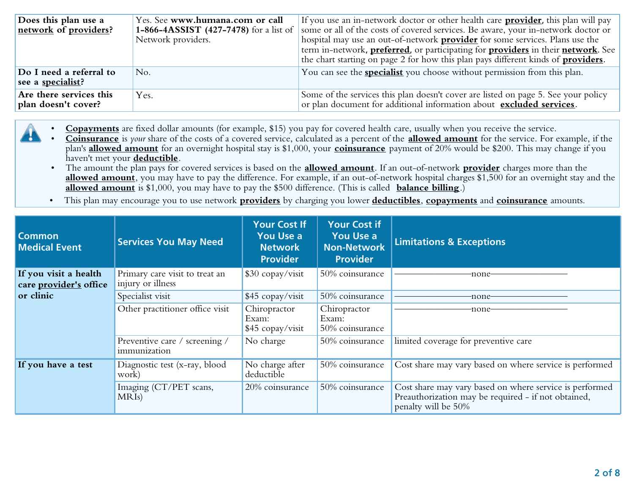| Does this plan use a<br>network of providers?        | Yes. See www.humana.com or call<br>1-866-4ASSIST (427-7478) for a list of<br>Network providers. | If you use an in-network doctor or other health care <b>provider</b> , this plan will pay<br>some or all of the costs of covered services. Be aware, your in-network doctor or<br>hospital may use an out-of-network <b>provider</b> for some services. Plans use the<br>term in-network, <b>preferred</b> , or participating for <b>providers</b> in their <b>network</b> . See<br>the chart starting on page 2 for how this plan pays different kinds of <b>providers</b> . |
|------------------------------------------------------|-------------------------------------------------------------------------------------------------|-------------------------------------------------------------------------------------------------------------------------------------------------------------------------------------------------------------------------------------------------------------------------------------------------------------------------------------------------------------------------------------------------------------------------------------------------------------------------------|
| Do I need a referral to<br>see a <u>specialist</u> ? | No.                                                                                             | You can see the <b>specialist</b> you choose without permission from this plan.                                                                                                                                                                                                                                                                                                                                                                                               |
| Are there services this<br>plan doesn't cover?       | Yes.                                                                                            | Some of the services this plan doesn't cover are listed on page 5. See your policy<br>or plan document for additional information about excluded services.                                                                                                                                                                                                                                                                                                                    |

- **Copayments** are fixed dollar amounts (for example, \$15) you pay for covered health care, usually when you receive the service.
- **Coinsurance** is *your* share of the costs of a covered service, calculated as a percent of the **allowed amount** for the service. For example, if the plan's **allowed amount** for an overnight hospital stay is \$1,000, your **coinsurance** payment of 20% would be \$200. This may change if you haven't met your **deductible**.
	- The amount the plan pays for covered services is based on the **allowed amount**. If an out-of-network **provider** charges more than the **allowed amount**, you may have to pay the difference. For example, if an out-of-network hospital charges \$1,500 for an overnight stay and the **allowed amount** is \$1,000, you may have to pay the \$500 difference. (This is called **balance billing**.)
- This plan may encourage you to use network **providers** by charging you lower **deductibles**, **copayments** and **coinsurance** amounts.

| <b>Common</b><br><b>Medical Event</b>           | <b>Services You May Need</b>                        | <b>Your Cost If</b><br><b>You Use a</b><br><b>Network</b><br><b>Provider</b> | <b>Your Cost if</b><br>You Use a<br>Non-Network<br><b>Provider</b> | <b>Limitations &amp; Exceptions</b>                                                                                                   |
|-------------------------------------------------|-----------------------------------------------------|------------------------------------------------------------------------------|--------------------------------------------------------------------|---------------------------------------------------------------------------------------------------------------------------------------|
| If you visit a health<br>care provider's office | Primary care visit to treat an<br>injury or illness | \$30 copay/visit                                                             | 50% coinsurance                                                    | -none-                                                                                                                                |
| or clinic                                       | Specialist visit                                    | \$45 copay/visit                                                             | 50% coinsurance                                                    | -none-                                                                                                                                |
|                                                 | Other practitioner office visit                     | Chiropractor<br>Exam:<br>\$45 copay/visit                                    | Chiropractor<br>Exam:<br>50% coinsurance                           | -none-                                                                                                                                |
|                                                 | Preventive care / screening /<br>immunization       | No charge                                                                    | 50% coinsurance                                                    | limited coverage for preventive care                                                                                                  |
| If you have a test                              | Diagnostic test (x-ray, blood<br>work)              | No charge after<br>deductible                                                | 50% coinsurance                                                    | Cost share may vary based on where service is performed                                                                               |
|                                                 | Imaging (CT/PET scans,<br>MRIs)                     | 20% coinsurance                                                              | 50% coinsurance                                                    | Cost share may vary based on where service is performed<br>Preauthorization may be required - if not obtained,<br>penalty will be 50% |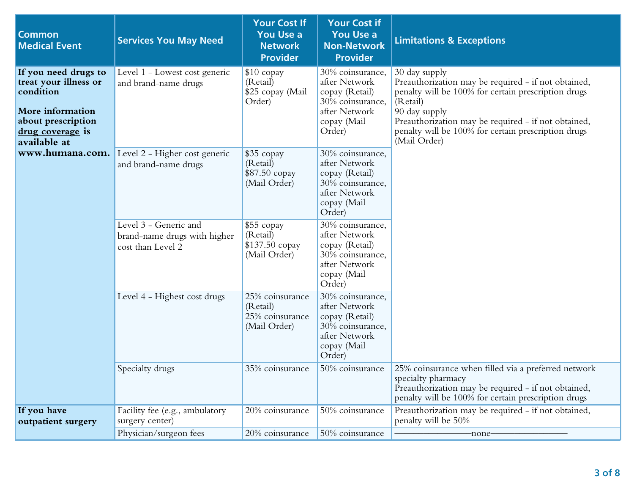| <b>Common</b><br><b>Medical Event</b>                                                                                                    | <b>Services You May Need</b>                                               | <b>Your Cost If</b><br><b>You Use a</b><br><b>Network</b><br><b>Provider</b> | <b>Your Cost if</b><br><b>You Use a</b><br><b>Non-Network</b><br><b>Provider</b>                                  | <b>Limitations &amp; Exceptions</b>                                                                                                                                                                                                                                                    |
|------------------------------------------------------------------------------------------------------------------------------------------|----------------------------------------------------------------------------|------------------------------------------------------------------------------|-------------------------------------------------------------------------------------------------------------------|----------------------------------------------------------------------------------------------------------------------------------------------------------------------------------------------------------------------------------------------------------------------------------------|
| If you need drugs to<br>treat your illness or<br>condition<br>More information<br>about prescription<br>drug coverage is<br>available at | Level 1 - Lowest cost generic<br>and brand-name drugs                      | $$10$ copay<br>(Retail)<br>\$25 copay (Mail<br>Order)                        | 30% coinsurance,<br>after Network<br>copay (Retail)<br>30% coinsurance,<br>after Network<br>copay (Mail<br>Order) | 30 day supply<br>Preauthorization may be required - if not obtained,<br>penalty will be 100% for certain prescription drugs<br>(Retail)<br>90 day supply<br>Preauthorization may be required - if not obtained,<br>penalty will be 100% for certain prescription drugs<br>(Mail Order) |
| www.humana.com.                                                                                                                          | Level 2 - Higher cost generic<br>and brand-name drugs                      | \$35 copay<br>(Retail)<br>\$87.50 copay<br>(Mail Order)                      | 30% coinsurance,<br>after Network<br>copay (Retail)<br>30% coinsurance,<br>after Network<br>copay (Mail<br>Order) |                                                                                                                                                                                                                                                                                        |
|                                                                                                                                          | Level 3 - Generic and<br>brand-name drugs with higher<br>cost than Level 2 | \$55 copay<br>(Retail)<br>\$137.50 copay<br>(Mail Order)                     | 30% coinsurance,<br>after Network<br>copay (Retail)<br>30% coinsurance,<br>after Network<br>copay (Mail<br>Order) |                                                                                                                                                                                                                                                                                        |
|                                                                                                                                          | Level 4 - Highest cost drugs                                               | 25% coinsurance<br>(Retail)<br>25% coinsurance<br>(Mail Order)               | 30% coinsurance,<br>after Network<br>copay (Retail)<br>30% coinsurance,<br>after Network<br>copay (Mail<br>Order) |                                                                                                                                                                                                                                                                                        |
|                                                                                                                                          | Specialty drugs                                                            | 35% coinsurance                                                              | 50% coinsurance                                                                                                   | 25% coinsurance when filled via a preferred network<br>specialty pharmacy<br>Preauthorization may be required - if not obtained,<br>penalty will be 100% for certain prescription drugs                                                                                                |
| If you have<br>outpatient surgery                                                                                                        | Facility fee (e.g., ambulatory<br>surgery center)                          | 20% coinsurance                                                              | 50% coinsurance                                                                                                   | Preauthorization may be required - if not obtained,<br>penalty will be 50%                                                                                                                                                                                                             |
|                                                                                                                                          | Physician/surgeon fees                                                     | 20% coinsurance                                                              | 50% coinsurance                                                                                                   | -none-                                                                                                                                                                                                                                                                                 |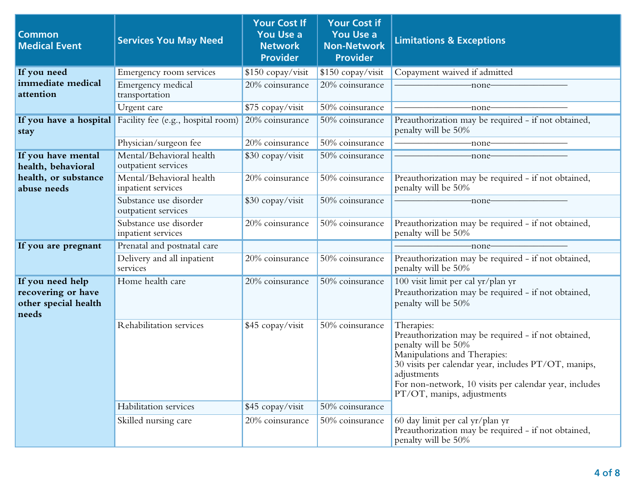| <b>Common</b><br><b>Medical Event</b>                                   | <b>Services You May Need</b>                    | <b>Your Cost If</b><br><b>You Use a</b><br><b>Network</b><br><b>Provider</b> | <b>Your Cost if</b><br><b>You Use a</b><br><b>Non-Network</b><br><b>Provider</b> | <b>Limitations &amp; Exceptions</b>                                                                                                                                                                                                                                                     |
|-------------------------------------------------------------------------|-------------------------------------------------|------------------------------------------------------------------------------|----------------------------------------------------------------------------------|-----------------------------------------------------------------------------------------------------------------------------------------------------------------------------------------------------------------------------------------------------------------------------------------|
| If you need                                                             | Emergency room services                         | \$150 copay/visit                                                            | \$150 copay/visit                                                                | Copayment waived if admitted                                                                                                                                                                                                                                                            |
| immediate medical<br>attention                                          | Emergency medical<br>transportation             | 20% coinsurance                                                              | 20% coinsurance                                                                  | -none-                                                                                                                                                                                                                                                                                  |
|                                                                         | Urgent care                                     | \$75 copay/visit                                                             | 50% coinsurance                                                                  | -none-                                                                                                                                                                                                                                                                                  |
| If you have a hospital<br>stay                                          | Facility fee (e.g., hospital room)              | 20% coinsurance                                                              | 50% coinsurance                                                                  | Preauthorization may be required - if not obtained,<br>penalty will be 50%                                                                                                                                                                                                              |
|                                                                         | Physician/surgeon fee                           | $20%$ coinsurance                                                            | 50% coinsurance                                                                  | -none-                                                                                                                                                                                                                                                                                  |
| If you have mental<br>health, behavioral                                | Mental/Behavioral health<br>outpatient services | \$30 copay/visit                                                             | 50% coinsurance                                                                  | -none-                                                                                                                                                                                                                                                                                  |
| health, or substance<br>abuse needs                                     | Mental/Behavioral health<br>inpatient services  | 20% coinsurance                                                              | 50% coinsurance                                                                  | Preauthorization may be required - if not obtained,<br>penalty will be 50%                                                                                                                                                                                                              |
|                                                                         | Substance use disorder<br>outpatient services   | \$30 copay/visit                                                             | 50% coinsurance                                                                  | -none–                                                                                                                                                                                                                                                                                  |
|                                                                         | Substance use disorder<br>inpatient services    | 20% coinsurance                                                              | 50% coinsurance                                                                  | Preauthorization may be required - if not obtained,<br>penalty will be 50%                                                                                                                                                                                                              |
| If you are pregnant                                                     | Prenatal and postnatal care                     |                                                                              |                                                                                  | -none-                                                                                                                                                                                                                                                                                  |
|                                                                         | Delivery and all inpatient<br>services          | 20% coinsurance                                                              | 50% coinsurance                                                                  | Preauthorization may be required - if not obtained,<br>penalty will be 50%                                                                                                                                                                                                              |
| If you need help<br>recovering or have<br>other special health<br>needs | Home health care                                | 20% coinsurance                                                              | 50% coinsurance                                                                  | 100 visit limit per cal yr/plan yr<br>Preauthorization may be required - if not obtained,<br>penalty will be 50%                                                                                                                                                                        |
|                                                                         | Rehabilitation services                         | \$45 copay/visit                                                             | 50% coinsurance                                                                  | Therapies:<br>Preauthorization may be required - if not obtained,<br>penalty will be 50%<br>Manipulations and Therapies:<br>30 visits per calendar year, includes PT/OT, manips,<br>adjustments<br>For non-network, 10 visits per calendar year, includes<br>PT/OT, manips, adjustments |
|                                                                         | Habilitation services                           | \$45 copay/visit                                                             | 50% coinsurance                                                                  |                                                                                                                                                                                                                                                                                         |
|                                                                         | Skilled nursing care                            | 20% coinsurance                                                              | 50% coinsurance                                                                  | 60 day limit per cal yr/plan yr<br>Preauthorization may be required - if not obtained,<br>penalty will be 50%                                                                                                                                                                           |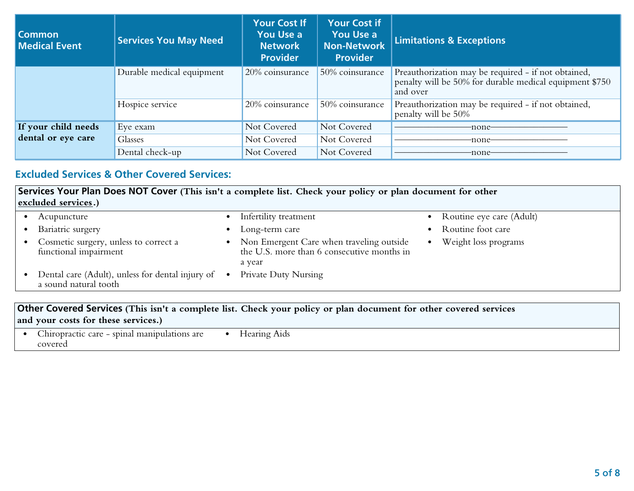| l Common<br><b>Medical Event</b> | <b>Services You May Need</b> | <b>Your Cost If</b><br>You Use a<br><b>Network</b><br><b>Provider</b> | <b>Your Cost if</b><br><b>You Use a</b><br>Non-Network<br><b>Provider</b> | <b>Limitations &amp; Exceptions</b>                                                                                        |
|----------------------------------|------------------------------|-----------------------------------------------------------------------|---------------------------------------------------------------------------|----------------------------------------------------------------------------------------------------------------------------|
|                                  | Durable medical equipment    | 20% coinsurance                                                       | 50% coinsurance                                                           | Preauthorization may be required - if not obtained,<br>penalty will be 50% for durable medical equipment \$750<br>and over |
|                                  | Hospice service              | 20% coinsurance                                                       | 50% coinsurance                                                           | Preauthorization may be required - if not obtained,<br>penalty will be 50%                                                 |
| If your child needs              | Eye exam                     | Not Covered                                                           | Not Covered                                                               | -none-                                                                                                                     |
| dental or eye care               | Glasses                      | Not Covered                                                           | Not Covered                                                               | -none-                                                                                                                     |
|                                  | Dental check-up              | Not Covered                                                           | Not Covered                                                               | -none-                                                                                                                     |

# **Excluded Services & Other Covered Services:**

**Services Your Plan Does NOT Cover (This isn't a complete list. Check your policy or plan document for other excluded services.)** 

| Acupuncture                                                                 | Infertility treatment                                                                            | Routine eye care (Adult) |
|-----------------------------------------------------------------------------|--------------------------------------------------------------------------------------------------|--------------------------|
| Bariatric surgery                                                           | Long-term care                                                                                   | Routine foot care        |
| Cosmetic surgery, unless to correct a<br>functional impairment              | Non Emergent Care when traveling outside<br>the U.S. more than 6 consecutive months in<br>a year | Weight loss programs     |
| Dental care (Adult), unless for dental injury of •<br>a sound natural tooth | Private Duty Nursing                                                                             |                          |

### **Other Covered Services (This isn't a complete list. Check your policy or plan document for other covered services and your costs for these services.)**

| È<br>smin<br>manipu<br>$C$ ar $\epsilon$<br>. arc<br>tion:<br>.n11<br>זרו<br>covered | earing<br>Aids<br>. . |
|--------------------------------------------------------------------------------------|-----------------------|
|                                                                                      |                       |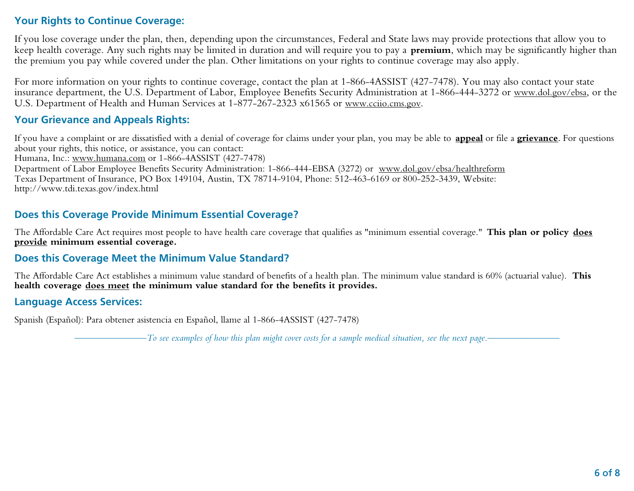# **Your Rights to Continue Coverage:**

If you lose coverage under the plan, then, depending upon the circumstances, Federal and State laws may provide protections that allow you to keep health coverage. Any such rights may be limited in duration and will require you to pay a **premium**, which may be significantly higher than the premium you pay while covered under the plan. Other limitations on your rights to continue coverage may also apply.

For more information on your rights to continue coverage, contact the plan at 1-866-4ASSIST (427-7478). You may also contact your state insurance department, the U.S. Department of Labor, Employee Benefits Security Administration at 1-866-444-3272 or www.dol.gov/ebsa, or the U.S. Department of Health and Human Services at 1-877-267-2323 x61565 or www.cciio.cms.gov.

## **Your Grievance and Appeals Rights:**

If you have a complaint or are dissatisfied with a denial of coverage for claims under your plan, you may be able to **appeal** or file a **grievance**. For questions about your rights, this notice, or assistance, you can contact: Humana, Inc.: www.humana.com or 1-866-4ASSIST (427-7478) Department of Labor Employee Benefits Security Administration: 1-866-444-EBSA (3272) or www.dol.gov/ebsa/healthreform Texas Department of Insurance, PO Box 149104, Austin, TX 78714-9104, Phone: 512-463-6169 or 800-252-3439, Website: http://www.tdi.texas.gov/index.html

# **Does this Coverage Provide Minimum Essential Coverage?**

The Affordable Care Act requires most people to have health care coverage that qualifies as "minimum essential coverage." **This plan or policy does provide minimum essential coverage.**

# **Does this Coverage Meet the Minimum Value Standard?**

The Affordable Care Act establishes a minimum value standard of benefits of a health plan. The minimum value standard is 60% (actuarial value). **This health coverage does meet the minimum value standard for the benefits it provides.**

### **Language Access Services:**

Spanish (Español): Para obtener asistencia en Español, llame al 1-866-4ASSIST (427-7478)

*–––––––––––––––To see examples of how this plan might cover costs for a sample medical situation, see the next page.–––––––––––––––*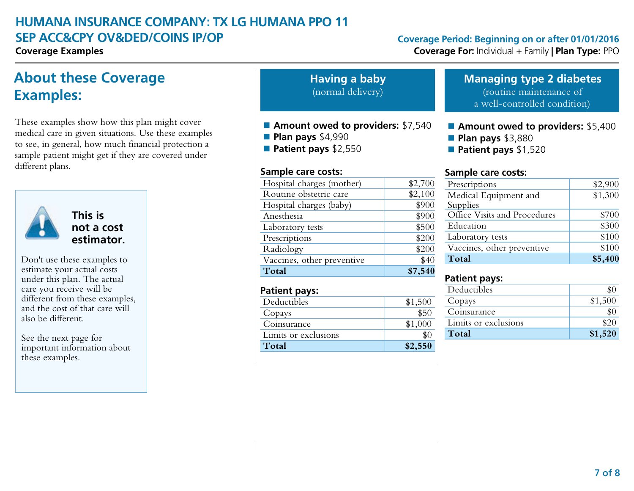# **HUMANA INSURANCE COMPANY: TX LG HUMANA PPO 11 SEP ACC&CPY OV&DED/COINS IP/OP Coverage Period: Beginning on or after 01/01/2016**

# **About these Coverage Examples:**

These examples show how this plan might cover medical care in given situations. Use these examples to see, in general, how much financial protection a sample patient might get if they are covered under different plans.



# **This is not a cost estimator.**

Don't use these examples to estimate your actual costs under this plan. The actual care you receive will be different from these examples, and the cost of that care will also be different.

See the next page for important information about these examples.

**Having a baby** (normal delivery)

- **Amount owed to providers: \$7,540**
- **Plan pays** \$4,990
- **Patient pays** \$2,550

### **Sample care costs:**

| Hospital charges (mother)  | \$2,700 |
|----------------------------|---------|
| Routine obstetric care     | \$2,100 |
| Hospital charges (baby)    | \$900   |
| Anesthesia                 | \$900   |
| Laboratory tests           | \$500   |
| Prescriptions              | \$200   |
| Radiology                  | \$200   |
| Vaccines, other preventive | \$40    |
| Total                      | \$7,540 |

# **Patient pays:**

| Deductibles          | \$1,500 |
|----------------------|---------|
| Copays               | \$50    |
| Coinsurance          |         |
| Limits or exclusions |         |
| Total                | \$2,550 |

**Coverage Examples Coverage For:** Individual + Family **| Plan Type:** PPO

| <b>Managing type 2 diabetes</b> |  |  |
|---------------------------------|--|--|
|                                 |  |  |

(routine maintenance of a well-controlled condition)

### **n** Amount owed to providers: \$5,400

- **Plan pays** \$3,880
- **Patient pays** \$1,520

### **Sample care costs:**

| Prescriptions                | \$2,900 |
|------------------------------|---------|
| Medical Equipment and        | \$1,300 |
| Supplies                     |         |
| Office Visits and Procedures | \$700   |
| Education                    | \$300   |
| Laboratory tests             | \$100   |
| Vaccines, other preventive   | \$100   |
| Total                        | \$5,400 |

# **Patient pays:**

| Deductibles          |         |
|----------------------|---------|
| Copays               | \$1,500 |
| Coinsurance          |         |
| Limits or exclusions |         |
| Total                | \$1,520 |